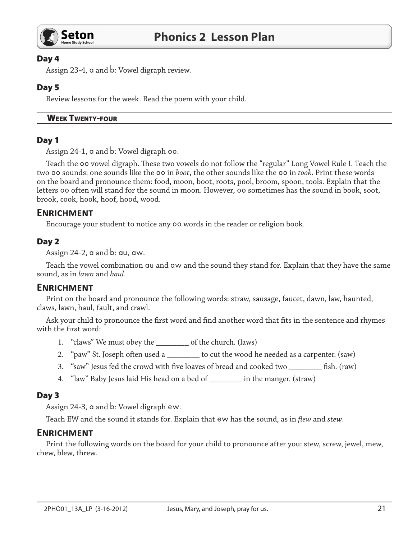

## Day 4

Assign 23-4, a and b: Vowel digraph review.

## Day 5

Review lessons for the week. Read the poem with your child.

#### **WEEK TWENTY-FOUR**

## Day 1

Assign 24-1, a and b: Vowel digraph 00.

Teach the 00 vowel digraph. These two vowels do not follow the "regular" Long Vowel Rule I. Teach the two 00 sounds: one sounds like the 00 in boot, the other sounds like the 00 in took. Print these words on the board and pronounce them: food, moon, boot, roots, pool, broom, spoon, tools. Explain that the letters 00 often will stand for the sound in moon. However, 00 sometimes has the sound in book, soot, brook, cook, hook, hoof, hood, wood.

# **ENRICHMENT**

Encourage your student to notice any 00 words in the reader or religion book.

## Day 2

Assign 24-2,  $\alpha$  and  $\beta$ :  $\alpha$ u,  $\alpha$ w.

Teach the vowel combination ou and ow and the sound they stand for. Explain that they have the same sound, as in lawn and haul.

# **ENRICHMENT**

Print on the board and pronounce the following words: straw, sausage, faucet, dawn, law, haunted, claws, lawn, haul, fault, and crawl.

Ask your child to pronounce the first word and find another word that fits in the sentence and rhymes with the first word:

- 1. "claws" We must obey the \_\_\_\_\_\_\_\_\_\_\_ of the church. (laws)
- 2. "paw" St. Joseph often used a \_\_\_\_\_\_\_\_\_ to cut the wood he needed as a carpenter. (saw)
- 3. "saw" Jesus fed the crowd with five loaves of bread and cooked two \_\_\_\_\_\_\_ fish. (raw)
- "law" Baby Jesus laid His head on a bed of \_\_\_\_\_\_\_\_\_ in the manger. (straw) 4.

#### Day 3

Assign 24-3, a and b: Vowel digraph ew.

Teach EW and the sound it stands for. Explain that ew has the sound, as in flew and stew.

# **ENRICHMENT**

Print the following words on the board for your child to pronounce after you: stew, screw, jewel, mew, chew, blew, threw.